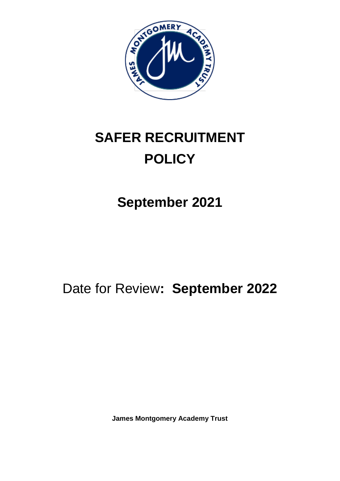

# **SAFER RECRUITMENT POLICY**

# **September 2021**

# Date for Review**: September 2022**

**James Montgomery Academy Trust**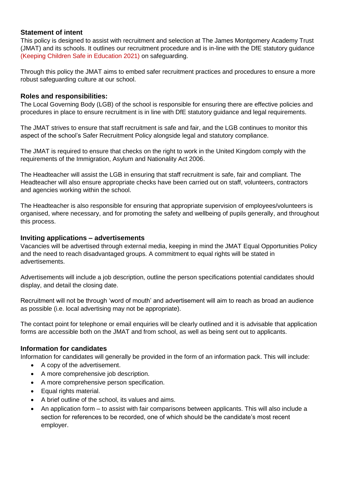#### **Statement of intent**

This policy is designed to assist with recruitment and selection at The James Montgomery Academy Trust (JMAT) and its schools. It outlines our recruitment procedure and is in-line with the DfE statutory guidance (Keeping Children Safe in Education 2021) on safeguarding.

Through this policy the JMAT aims to embed safer recruitment practices and procedures to ensure a more robust safeguarding culture at our school.

#### **Roles and responsibilities:**

The Local Governing Body (LGB) of the school is responsible for ensuring there are effective policies and procedures in place to ensure recruitment is in line with DfE statutory guidance and legal requirements.

The JMAT strives to ensure that staff recruitment is safe and fair, and the LGB continues to monitor this aspect of the school's Safer Recruitment Policy alongside legal and statutory compliance.

The JMAT is required to ensure that checks on the right to work in the United Kingdom comply with the requirements of the Immigration, Asylum and Nationality Act 2006.

The Headteacher will assist the LGB in ensuring that staff recruitment is safe, fair and compliant. The Headteacher will also ensure appropriate checks have been carried out on staff, volunteers, contractors and agencies working within the school.

The Headteacher is also responsible for ensuring that appropriate supervision of employees/volunteers is organised, where necessary, and for promoting the safety and wellbeing of pupils generally, and throughout this process.

#### **Inviting applications – advertisements**

Vacancies will be advertised through external media, keeping in mind the JMAT Equal Opportunities Policy and the need to reach disadvantaged groups. A commitment to equal rights will be stated in advertisements.

Advertisements will include a job description, outline the person specifications potential candidates should display, and detail the closing date.

Recruitment will not be through 'word of mouth' and advertisement will aim to reach as broad an audience as possible (i.e. local advertising may not be appropriate).

The contact point for telephone or email enquiries will be clearly outlined and it is advisable that application forms are accessible both on the JMAT and from school, as well as being sent out to applicants.

# **Information for candidates**

Information for candidates will generally be provided in the form of an information pack. This will include:

- A copy of the advertisement.
- A more comprehensive job description.
- A more comprehensive person specification.
- Equal rights material.
- A brief outline of the school, its values and aims.
- An application form to assist with fair comparisons between applicants. This will also include a section for references to be recorded, one of which should be the candidate's most recent employer.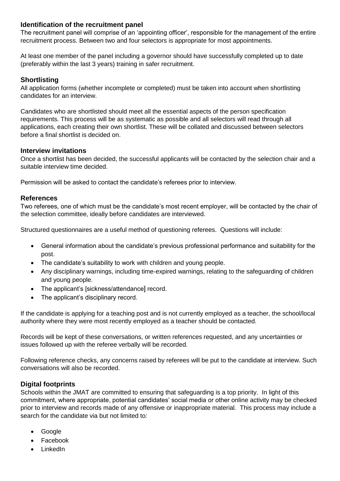#### **Identification of the recruitment panel**

The recruitment panel will comprise of an 'appointing officer', responsible for the management of the entire recruitment process. Between two and four selectors is appropriate for most appointments.

At least one member of the panel including a governor should have successfully completed up to date (preferably within the last 3 years) training in safer recruitment.

#### **Shortlisting**

All application forms (whether incomplete or completed) must be taken into account when shortlisting candidates for an interview.

Candidates who are shortlisted should meet all the essential aspects of the person specification requirements. This process will be as systematic as possible and all selectors will read through all applications, each creating their own shortlist. These will be collated and discussed between selectors before a final shortlist is decided on.

#### **Interview invitations**

Once a shortlist has been decided, the successful applicants will be contacted by the selection chair and a suitable interview time decided.

Permission will be asked to contact the candidate's referees prior to interview.

#### **References**

Two referees, one of which must be the candidate's most recent employer, will be contacted by the chair of the selection committee, ideally before candidates are interviewed.

Structured questionnaires are a useful method of questioning referees. Questions will include:

- General information about the candidate's previous professional performance and suitability for the post.
- The candidate's suitability to work with children and young people.
- Any disciplinary warnings, including time-expired warnings, relating to the safeguarding of children and young people.
- The applicant's [sickness/attendance] record.
- The applicant's disciplinary record.

If the candidate is applying for a teaching post and is not currently employed as a teacher, the school/local authority where they were most recently employed as a teacher should be contacted.

Records will be kept of these conversations, or written references requested, and any uncertainties or issues followed up with the referee verbally will be recorded.

Following reference checks, any concerns raised by referees will be put to the candidate at interview. Such conversations will also be recorded.

#### **Digital footprints**

Schools within the JMAT are committed to ensuring that safeguarding is a top priority. In light of this commitment, where appropriate, potential candidates' social media or other online activity may be checked prior to interview and records made of any offensive or inappropriate material. This process may include a search for the candidate via but not limited to:

- Google
- Facebook
- LinkedIn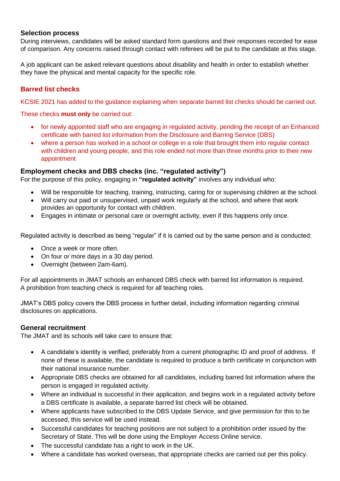#### **Selection process**

During interviews, candidates will be asked standard form questions and their responses recorded for ease of comparison. Any concerns raised through contact with referees will be put to the candidate at this stage.

A job applicant can be asked relevant questions about disability and health in order to establish whether they have the physical and mental capacity for the specific role.

# **Barred list checks**

KCSIE 2021 has added to the guidance explaining when separate barred list checks should be carried out.

These checks **must only** be carried out:

- for newly appointed staff who are engaging in regulated activity, pending the receipt of an Enhanced certificate with barred list information from the Disclosure and Barring Service (DBS)
- where a person has worked in a school or college in a role that brought them into regular contact with children and young people, and this role ended not more than three months prior to their new appointment

#### **Employment checks and DBS checks (inc. "regulated activity")**

For the purpose of this policy, engaging in **"regulated activity"** involves any individual who:

- Will be responsible for teaching, training, instructing, caring for or supervising children at the school.
- Will carry out paid or unsupervised, unpaid work regularly at the school, and where that work provides an opportunity for contact with children.
- Engages in intimate or personal care or overnight activity, even if this happens only once.

Regulated activity is described as being "regular" if it is carried out by the same person and is conducted:

- Once a week or more often.
- On four or more days in a 30 day period.
- Overnight (between 2am-6am).

For all appointments in JMAT schools an enhanced DBS check with barred list information is required. A prohibition from teaching check is required for all teaching roles.

JMAT's DBS policy covers the DBS process in further detail, including information regarding criminal disclosures on applications.

#### **General recruitment**

The JMAT and its schools will take care to ensure that:

- A candidate's identity is verified, preferably from a current photographic ID and proof of address. If none of these is available, the candidate is required to produce a birth certificate in conjunction with their national insurance number.
- Appropriate DBS checks are obtained for all candidates, including barred list information where the person is engaged in regulated activity.
- Where an individual is successful in their application, and begins work in a regulated activity before a DBS certificate is available, a separate barred list check will be obtained.
- Where applicants have subscribed to the DBS Update Service, and give permission for this to be accessed, this service will be used instead.
- Successful candidates for teaching positions are not subject to a prohibition order issued by the Secretary of State. This will be done using the Employer Access Online service.
- The successful candidate has a right to work in the UK.
- Where a candidate has worked overseas, that appropriate checks are carried out per this policy.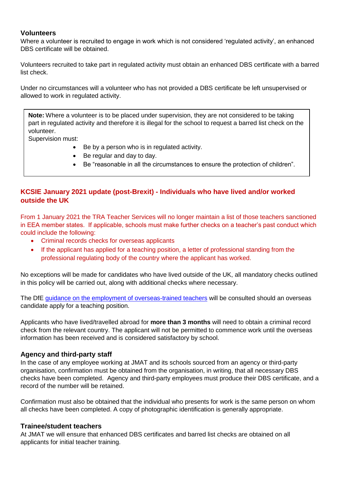#### **Volunteers**

Where a volunteer is recruited to engage in work which is not considered 'regulated activity', an enhanced DBS certificate will be obtained.

Volunteers recruited to take part in regulated activity must obtain an enhanced DBS certificate with a barred list check.

Under no circumstances will a volunteer who has not provided a DBS certificate be left unsupervised or allowed to work in regulated activity.

**Note:** Where a volunteer is to be placed under supervision, they are not considered to be taking part in regulated activity and therefore it is illegal for the school to request a barred list check on the volunteer.

Supervision must:

- Be by a person who is in regulated activity.
- Be regular and day to day.
- Be "reasonable in all the circumstances to ensure the protection of children".

# **KCSIE January 2021 update (post-Brexit) - Individuals who have lived and/or worked outside the UK**

From 1 January 2021 the TRA Teacher Services will no longer maintain a list of those teachers sanctioned in EEA member states. If applicable, schools must make further checks on a teacher's past conduct which could include the following:

- Criminal records checks for overseas applicants
- If the applicant has applied for a teaching position, a letter of professional standing from the professional regulating body of the country where the applicant has worked.

No exceptions will be made for candidates who have lived outside of the UK, all mandatory checks outlined in this policy will be carried out, along with additional checks where necessary.

The DfE [guidance on the employment of overseas-trained teachers](https://www.gov.uk/government/publications/employing-overseas-trained-teachers-from-outside-the-eea) will be consulted should an overseas candidate apply for a teaching position.

Applicants who have lived/travelled abroad for **more than 3 months** will need to obtain a criminal record check from the relevant country. The applicant will not be permitted to commence work until the overseas information has been received and is considered satisfactory by school.

#### **Agency and third-party staff**

In the case of any employee working at JMAT and its schools sourced from an agency or third-party organisation, confirmation must be obtained from the organisation, in writing, that all necessary DBS checks have been completed. Agency and third-party employees must produce their DBS certificate, and a record of the number will be retained.

Confirmation must also be obtained that the individual who presents for work is the same person on whom all checks have been completed. A copy of photographic identification is generally appropriate.

#### **Trainee/student teachers**

At JMAT we will ensure that enhanced DBS certificates and barred list checks are obtained on all applicants for initial teacher training.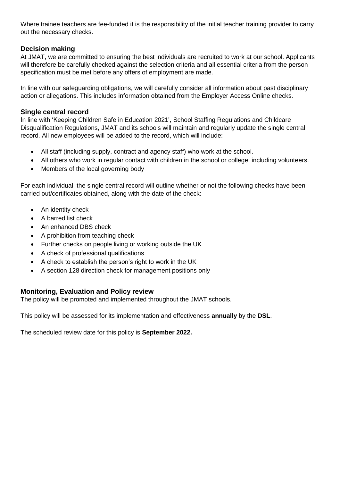Where trainee teachers are fee-funded it is the responsibility of the initial teacher training provider to carry out the necessary checks.

### **Decision making**

At JMAT, we are committed to ensuring the best individuals are recruited to work at our school. Applicants will therefore be carefully checked against the selection criteria and all essential criteria from the person specification must be met before any offers of employment are made.

In line with our safeguarding obligations, we will carefully consider all information about past disciplinary action or allegations. This includes information obtained from the Employer Access Online checks.

#### **Single central record**

In line with 'Keeping Children Safe in Education 2021', School Staffing Regulations and Childcare Disqualification Regulations, JMAT and its schools will maintain and regularly update the single central record. All new employees will be added to the record, which will include:

- All staff (including supply, contract and agency staff) who work at the school.
- All others who work in regular contact with children in the school or college, including volunteers.
- Members of the local governing body

For each individual, the single central record will outline whether or not the following checks have been carried out/certificates obtained, along with the date of the check:

- An identity check
- A barred list check
- An enhanced DBS check
- A prohibition from teaching check
- Further checks on people living or working outside the UK
- A check of professional qualifications
- A check to establish the person's right to work in the UK
- A section 128 direction check for management positions only

#### **Monitoring, Evaluation and Policy review**

The policy will be promoted and implemented throughout the JMAT schools.

This policy will be assessed for its implementation and effectiveness **annually** by the **DSL**.

The scheduled review date for this policy is **September 2022.**